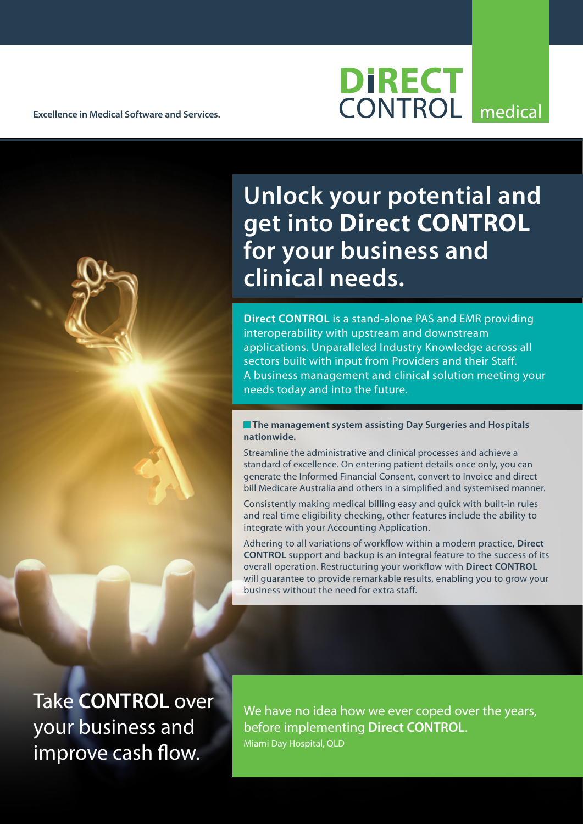**Excellence in Medical Software and Services.**

## **DIRECT CONTROL** medical

**Unlock your potential and get into Direct CONTROL for your business and clinical needs.**

**Direct CONTROL** is a stand-alone PAS and EMR providing interoperability with upstream and downstream applications. Unparalleled Industry Knowledge across all sectors built with input from Providers and their Staff. A business management and clinical solution meeting your needs today and into the future.

**The management system assisting Day Surgeries and Hospitals nationwide.**

Streamline the administrative and clinical processes and achieve a standard of excellence. On entering patient details once only, you can generate the Informed Financial Consent, convert to Invoice and direct bill Medicare Australia and others in a simplified and systemised manner.

Consistently making medical billing easy and quick with built-in rules and real time eligibility checking, other features include the ability to integrate with your Accounting Application.

Adhering to all variations of workflow within a modern practice, **Direct CONTROL** support and backup is an integral feature to the success of its overall operation. Restructuring your workflow with **Direct CONTROL** will guarantee to provide remarkable results, enabling you to grow your business without the need for extra staff.

Take **CONTROL** over your business and improve cash flow.

We have no idea how we ever coped over the years, before implementing **Direct CONTROL**. Miami Day Hospital, QLD